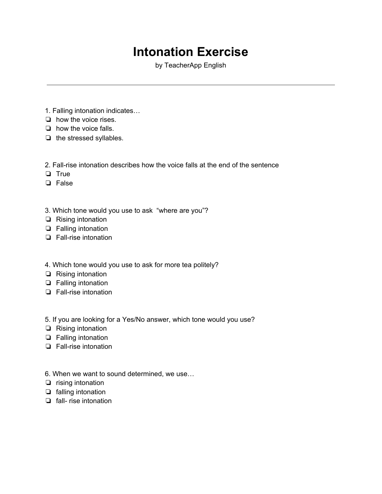## **Intonation Exercise**

by TeacherApp English

- 1. Falling intonation indicates…
- ❏ how the voice rises.
- ❏ how the voice falls.
- ❏ the stressed syllables.
- 2. Fall-rise intonation describes how the voice falls at the end of the sentence
- ❏ True
- ❏ False
- 3. Which tone would you use to ask "where are you"?
- ❏ Rising intonation
- ❏ Falling intonation
- ❏ Fall-rise intonation
- 4. Which tone would you use to ask for more tea politely?
- ❏ Rising intonation
- ❏ Falling intonation
- ❏ Fall-rise intonation
- 5. If you are looking for a Yes/No answer, which tone would you use?
- ❏ Rising intonation
- ❏ Falling intonation
- ❏ Fall-rise intonation
- 6. When we want to sound determined, we use…
- ❏ rising intonation
- ❏ falling intonation
- ❏ fall- rise intonation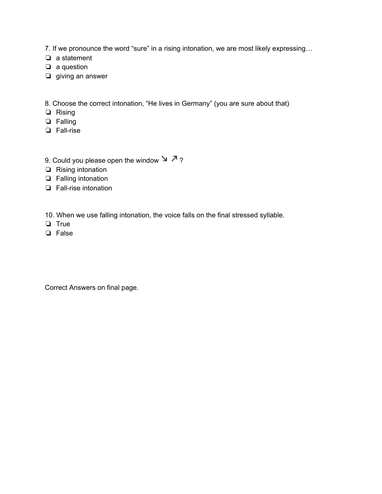7. If we pronounce the word "sure" in a rising intonation, we are most likely expressing...

- ❏ a statement
- ❏ a question
- ❏ giving an answer

8. Choose the correct intonation, "He lives in Germany" (you are sure about that)

- ❏ Rising
- ❏ Falling
- ❏ Fall-rise
- 9. Could you please open the window  $\searrow$  7 ?
- ❏ Rising intonation
- ❏ Falling intonation
- ❏ Fall-rise intonation

10. When we use falling intonation, the voice falls on the final stressed syllable.

- ❏ True
- ❏ False

Correct Answers on final page.